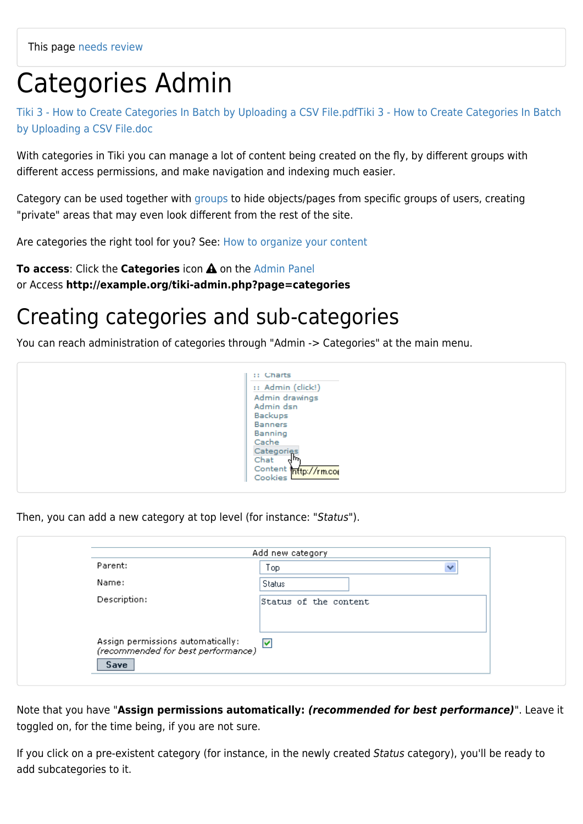# Categories Admin

[Tiki 3 - How to Create Categories In Batch by Uploading a CSV File.pdf](https://doc.tiki.org/tiki-download_wiki_attachment.php?attId=33&download=y)[Tiki 3 - How to Create Categories In Batch](https://doc.tiki.org/tiki-download_wiki_attachment.php?attId=32&download=y) [by Uploading a CSV File.doc](https://doc.tiki.org/tiki-download_wiki_attachment.php?attId=32&download=y)

With categories in Tiki you can manage a lot of content being created on the fly, by different groups with different access permissions, and make navigation and indexing much easier.

Category can be used together with [groups](https://doc.tiki.org/Groups) to hide objects/pages from specific groups of users, creating "private" areas that may even look different from the rest of the site.

Are categories the right tool for you? See: [How to organize your content](https://doc.tiki.org/How-to-organize-your-content)

**To access:** Click the **Categories** icon **A** on the [Admin Panel](https://doc.tiki.org/Admin-Panels) or Access **http://example.org/tiki-admin.php?page=categories**

## Creating categories and sub-categories

You can reach administration of categories through "Admin -> Categories" at the main menu.



Then, you can add a new category at top level (for instance: "Status").

| Parent:                                                                 | Top                   | v |
|-------------------------------------------------------------------------|-----------------------|---|
| Name:                                                                   | Status                |   |
| Description:                                                            | Status of the content |   |
|                                                                         |                       |   |
|                                                                         |                       |   |
| Assign permissions automatically:<br>(recommended for best performance) |                       |   |

Note that you have "**Assign permissions automatically:** *(recommended for best performance)*". Leave it toggled on, for the time being, if you are not sure.

If you click on a pre-existent category (for instance, in the newly created Status category), you'll be ready to add subcategories to it.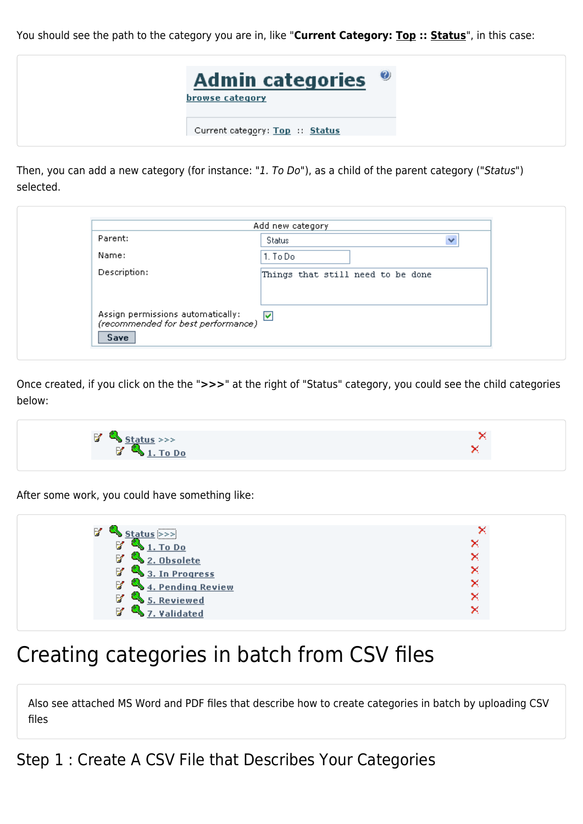You should see the path to the category you are in, like "**Current Category: Top :: Status**", in this case:



Then, you can add a new category (for instance: "1. To Do"), as a child of the parent category ("Status") selected.

| Parent:                                                                 | Status                            |  |
|-------------------------------------------------------------------------|-----------------------------------|--|
| Name:                                                                   | 1. To Do                          |  |
| Description:                                                            | Things that still need to be done |  |
|                                                                         |                                   |  |
| Assign permissions automatically:<br>(recommended for best performance) |                                   |  |
| Save                                                                    |                                   |  |

Once created, if you click on the the "**>>>**" at the right of "Status" category, you could see the child categories below:



After some work, you could have something like:

| B<br>                             |   |
|-----------------------------------|---|
| V<br>1. To Do                     | × |
| B<br>2. Obsolete                  | × |
| $\frac{1}{3}$ 3. In Progress<br>M | × |
| B<br>4. Pending Review            | × |
| V<br><b>Reviewed</b>              | × |
| B<br>Validated                    | × |

### Creating categories in batch from CSV files

Also see attached MS Word and PDF files that describe how to create categories in batch by uploading CSV files

Step 1 : Create A CSV File that Describes Your Categories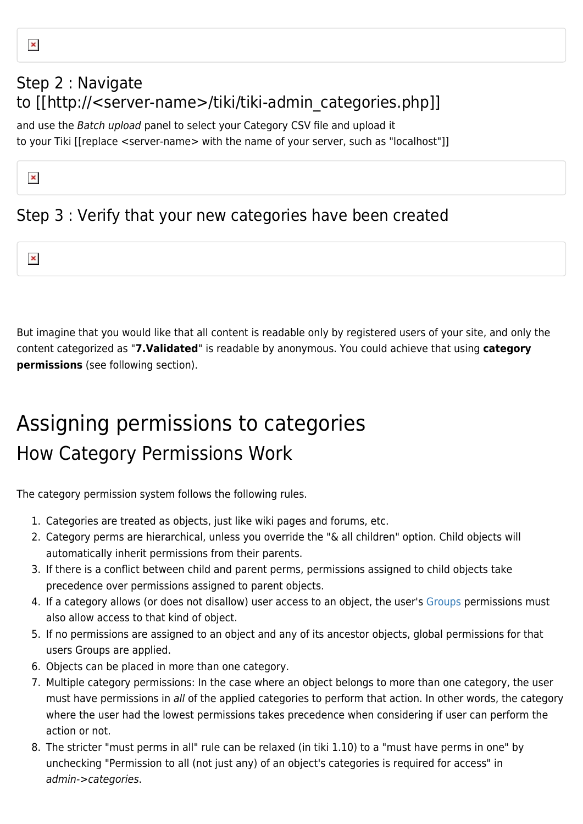### Step 2 : Navigate to [[http://<server-name>/tiki/tiki-admin\_categories.php]]

and use the Batch upload panel to select your Category CSV file and upload it to your Tiki [[replace <server-name> with the name of your server, such as "localhost"]]

### Step 3 : Verify that your new categories have been created

 $\pmb{\times}$ 

 $\pmb{\times}$ 

But imagine that you would like that all content is readable only by registered users of your site, and only the content categorized as "**7.Validated**" is readable by anonymous. You could achieve that using **category permissions** (see following section).

## Assigning permissions to categories How Category Permissions Work

The category permission system follows the following rules.

- 1. Categories are treated as objects, just like wiki pages and forums, etc.
- 2. Category perms are hierarchical, unless you override the "& all children" option. Child objects will automatically inherit permissions from their parents.
- 3. If there is a conflict between child and parent perms, permissions assigned to child objects take precedence over permissions assigned to parent objects.
- 4. If a category allows (or does not disallow) user access to an object, the user's [Groups](https://doc.tiki.org/Groups) permissions must also allow access to that kind of object.
- 5. If no permissions are assigned to an object and any of its ancestor objects, global permissions for that users Groups are applied.
- 6. Objects can be placed in more than one category.
- 7. Multiple category permissions: In the case where an object belongs to more than one category, the user must have permissions in all of the applied categories to perform that action. In other words, the category where the user had the lowest permissions takes precedence when considering if user can perform the action or not.
- 8. The stricter "must perms in all" rule can be relaxed (in tiki 1.10) to a "must have perms in one" by unchecking "Permission to all (not just any) of an object's categories is required for access" in admin->categories.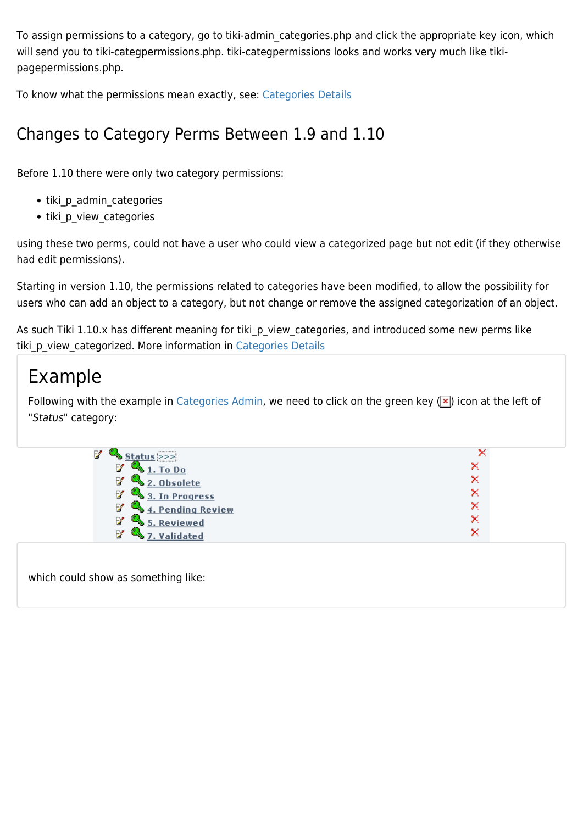To assign permissions to a category, go to tiki-admin\_categories.php and click the appropriate key icon, which will send you to tiki-categpermissions.php. tiki-categpermissions looks and works very much like tikipagepermissions.php.

To know what the permissions mean exactly, see: [Categories Details](https://doc.tiki.org/Categories-Details)

### Changes to Category Perms Between 1.9 and 1.10

Before 1.10 there were only two category permissions:

- tiki p admin categories
- tiki p view categories

using these two perms, could not have a user who could view a categorized page but not edit (if they otherwise had edit permissions).

Starting in version 1.10, the permissions related to categories have been modified, to allow the possibility for users who can add an object to a category, but not change or remove the assigned categorization of an object.

As such Tiki 1.10.x has different meaning for tiki p view categories, and introduced some new perms like tiki p view categorized. More information in [Categories Details](https://doc.tiki.org/Categories-Details)

### Example

Following with the example in [Categories Admin,](https://doc.tiki.org/Categories%20Admin) we need to click on the green key ( $\vert x \vert$ ) icon at the left of "Status" category:

| B.<br>                     |   |
|----------------------------|---|
| M<br>To Do                 | × |
| Ø<br>V<br><b>Obsolete</b>  | × |
| LL.<br>M<br>3. In Progress | × |
| M<br>4. Pending Review     | × |
| M<br>5. Reviewed           | × |
| B<br>ted                   | × |

which could show as something like: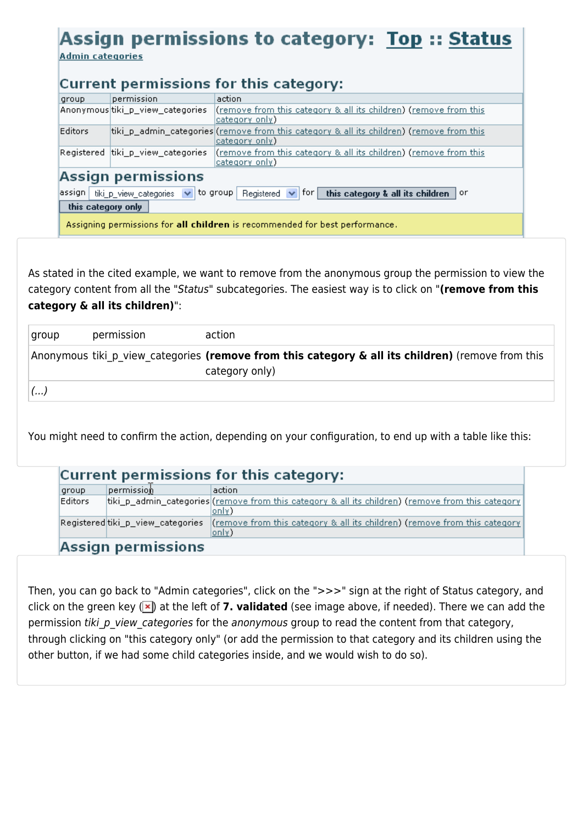### Assign permissions to category: Top :: Status

**Admin categories** 

#### Current permissions for this category:

| group                                                                       | permission                        | action                                                                                                                                  |
|-----------------------------------------------------------------------------|-----------------------------------|-----------------------------------------------------------------------------------------------------------------------------------------|
|                                                                             | Anonymoustiki_p_view_categories   | (remove from this category & all its children) (remove from this<br>(category only                                                      |
| <b>Editors</b>                                                              |                                   | tiki_p_admin_categories (remove from this category & all its children) (remove from this<br>(category only                              |
|                                                                             | Registered tiki_p_view_categories | (remove from this category & all its children) (remove from this<br>(category only                                                      |
| Assign permissions                                                          |                                   |                                                                                                                                         |
|                                                                             |                                   | assign   tiki_p_view_categories $\vert \vee \vert$ to group   Registered $\vert \vee \vert$ for   this category & all its children   or |
| this category only                                                          |                                   |                                                                                                                                         |
| Assigning permissions for all children is recommended for best performance. |                                   |                                                                                                                                         |

As stated in the cited example, we want to remove from the anonymous group the permission to view the category content from all the "Status" subcategories. The easiest way is to click on "**(remove from this category & all its children)**":

| group | permission | action                                                                                                              |
|-------|------------|---------------------------------------------------------------------------------------------------------------------|
|       |            | Anonymous tiki p view categories (remove from this category & all its children) (remove from this<br>category only) |
|       |            |                                                                                                                     |

You might need to confirm the action, depending on your configuration, to end up with a table like this:

#### Current permissions for this category:

| group   | permission.                       | action                                                                                                      |
|---------|-----------------------------------|-------------------------------------------------------------------------------------------------------------|
| Editors |                                   | tiki_p_admin_categories((remove from this category & all its children) (remove from this category)<br>only) |
|         | Registered tiki_p_view_categories | $ $ (remove from this category & all its children) (remove from this category<br>only)                      |
|         | Accian narmiccione                |                                                                                                             |

Assign permissions

Then, you can go back to "Admin categories", click on the ">>>" sign at the right of Status category, and click on the green key  $(\times)$  at the left of **7. validated** (see image above, if needed). There we can add the permission tiki p view categories for the anonymous group to read the content from that category, through clicking on "this category only" (or add the permission to that category and its children using the other button, if we had some child categories inside, and we would wish to do so).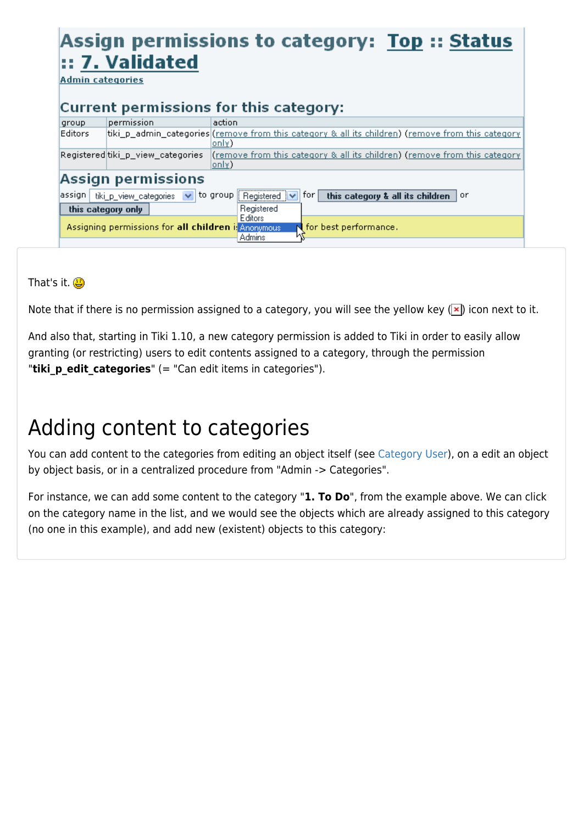### Assign permissions to category: Top :: Status :: 7. Validated

**Admin categories** 

#### Current permissions for this category:

| group              | permission                                          | action                                                                                                                              |
|--------------------|-----------------------------------------------------|-------------------------------------------------------------------------------------------------------------------------------------|
| Editors            |                                                     | tiki_p_admin_categories ( <u>remove from this category &amp; all its children</u> ) ( <u>remove from this category</u> )<br>loniv). |
|                    | Registered tiki_p_view_categories                   | <u>(remove from this category &amp; all its children) (remove from this category</u><br>(only                                       |
|                    | Assign permissions                                  |                                                                                                                                     |
| assign             | tiki_p_view_categories<br>$\vee$                    | to group Registered<br>this category & all its children<br>tor I<br>or                                                              |
| this category only |                                                     | Registered                                                                                                                          |
|                    | Assigning permissions for all children i: Anonymous | Editors<br>$\blacksquare$ for best performance.<br>Admins                                                                           |
|                    |                                                     |                                                                                                                                     |

That's it.  $\bigcirc$ 

Note that if there is no permission assigned to a category, you will see the yellow key  $(\times)$  icon next to it.

And also that, starting in Tiki 1.10, a new category permission is added to Tiki in order to easily allow granting (or restricting) users to edit contents assigned to a category, through the permission "**tiki p edit categories**" (= "Can edit items in categories").

## Adding content to categories

You can add content to the categories from editing an object itself (see [Category User](https://doc.tiki.org/Category-User)), on a edit an object by object basis, or in a centralized procedure from "Admin -> Categories".

For instance, we can add some content to the category "**1. To Do**", from the example above. We can click on the category name in the list, and we would see the objects which are already assigned to this category (no one in this example), and add new (existent) objects to this category: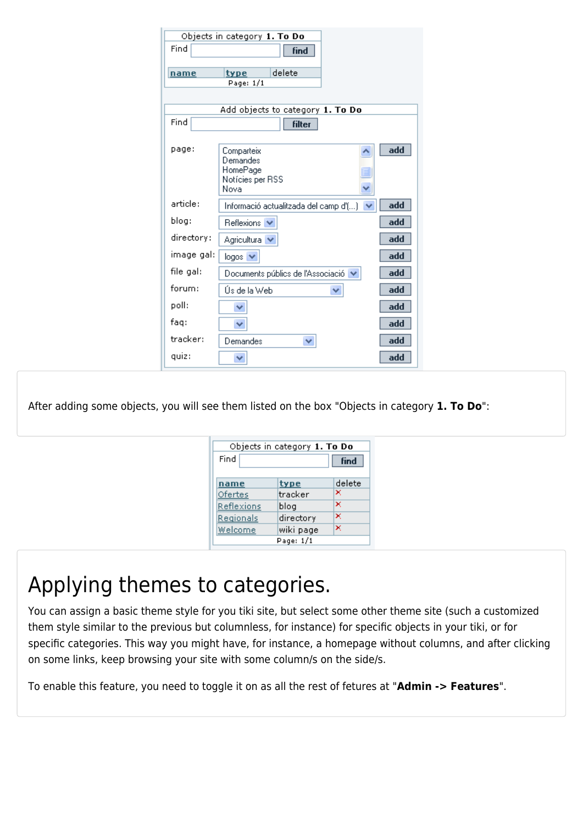| Find       | <b>find</b>                                                    |     |
|------------|----------------------------------------------------------------|-----|
| name       | delete<br>type                                                 |     |
|            | Page: 1/1                                                      |     |
|            | Add objects to category <b>1. To Do</b>                        |     |
| Find       | filter                                                         |     |
| page:      | Comparteix<br>Demandes<br>HomePage<br>Notícies per RSS<br>Nova | add |
| article:   | Informació actualitzada del camp d'()                          | add |
| blog:      | Reflexions V                                                   | add |
| directory: | Agricultura V                                                  | add |
| image gal: | $logos$ $\vee$                                                 | add |
| file gal:  | Documents públics de l'Associació   ↓                          | add |
| forum:     | Ús de la Web<br>v                                              | add |
| poll:      | v                                                              | add |
| faq:       | $\checkmark$                                                   | add |
| tracker:   | Demandes<br>v                                                  | add |
| quiz:      | ◡                                                              | add |

After adding some objects, you will see them listed on the box "Objects in category **1. To Do**":

| Objects in category 1. To Do |           |        |
|------------------------------|-----------|--------|
| Find<br>find                 |           |        |
|                              |           |        |
| name                         | type      | delete |
| <b>Ofertes</b>               | tracker   | ×      |
| Reflexions                   | blog      | ×      |
| Regionals                    | directory | ×      |
| Welcome                      | wiki page | ×      |
|                              | Page: 1/1 |        |

## Applying themes to categories.

You can assign a basic theme style for you tiki site, but select some other theme site (such a customized them style similar to the previous but columnless, for instance) for specific objects in your tiki, or for specific categories. This way you might have, for instance, a homepage without columns, and after clicking on some links, keep browsing your site with some column/s on the side/s.

To enable this feature, you need to toggle it on as all the rest of fetures at "**Admin -> Features**".